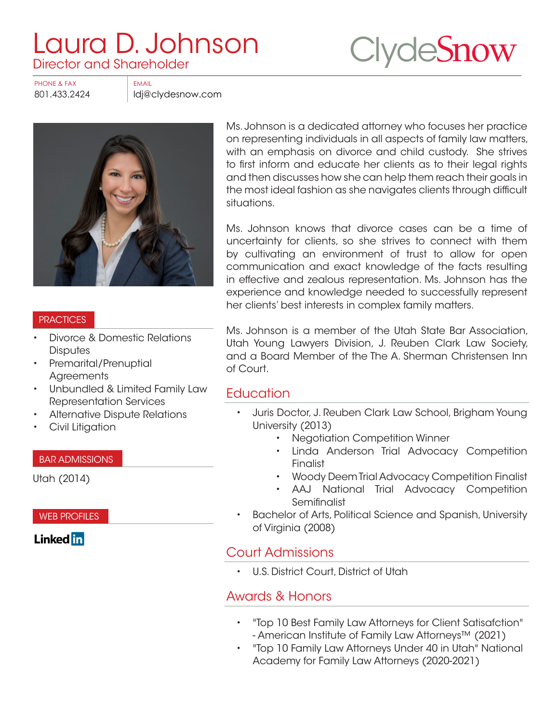# Laura D. Johnson<br>Director and Shareholder



PHONE & FAX EMAIL

801.433.2424 ldj@clydesnow.com



#### PRACTICES

- Divorce & Domestic Relations **Disputes**
- Premarital/Prenuptial **Agreements**
- Unbundled & Limited Family Law Representation Services
- Alternative Dispute Relations
- Civil Litigation

#### BAR ADMISSIONS

Utah (2014)

WEB PROFILES

**Linked** in

Ms. Johnson is a dedicated attorney who focuses her practice on representing individuals in all aspects of family law matters, with an emphasis on divorce and child custody. She strives to first inform and educate her clients as to their legal rights and then discusses how she can help them reach their goals in the most ideal fashion as she navigates clients through difficult situations.

Ms. Johnson knows that divorce cases can be a time of uncertainty for clients, so she strives to connect with them by cultivating an environment of trust to allow for open communication and exact knowledge of the facts resulting in effective and zealous representation. Ms. Johnson has the experience and knowledge needed to successfully represent her clients' best interests in complex family matters.

Ms. Johnson is a member of the Utah State Bar Association, Utah Young Lawyers Division, J. Reuben Clark Law Society, and a Board Member of the The A. Sherman Christensen Inn of Court.

#### **Education**

- Juris Doctor, J. Reuben Clark Law School, Brigham Young University (2013)
	- Negotiation Competition Winner
	- Linda Anderson Trial Advocacy Competition Finalist
	- Woody Deem Trial Advocacy Competition Finalist
	- AAJ National Trial Advocacy Competition **Semifinalist**
- Bachelor of Arts, Political Science and Spanish, University of Virginia (2008)

### Court Admissions

• U.S. District Court, District of Utah

# Awards & Honors

- "Top 10 Best Family Law Attorneys for Client Satisafction" - American Institute of Family Law Attorneys™ (2021)
- "Top 10 Family Law Attorneys Under 40 in Utah" National Academy for Family Law Attorneys (2020-2021)